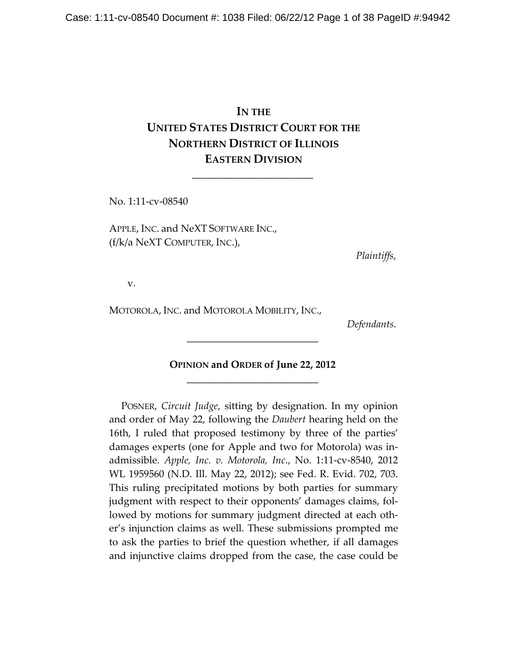# **IN THE UNITED STATES DISTRICT COURT FOR THE NORTHERN DISTRICT OF ILLINOIS EASTERN DIVISION**

\_\_\_\_\_\_\_\_\_\_\_\_\_\_\_\_\_\_\_\_\_\_\_\_

No. 1:11-cv-08540

APPLE, INC. and NeXT SOFTWARE INC., (f/k/a NeXT COMPUTER, INC.),

*Plaintiffs*,

v.

MOTOROLA, INC. and MOTOROLA MOBILITY, INC.,

*Defendants*.

# **OPINION and ORDER of June 22, 2012**  \_\_\_\_\_\_\_\_\_\_\_\_\_\_\_\_\_\_\_\_\_\_\_\_\_\_

\_\_\_\_\_\_\_\_\_\_\_\_\_\_\_\_\_\_\_\_\_\_\_\_\_\_

POSNER, *Circuit Judge*, sitting by designation. In my opinion and order of May 22, following the *Daubert* hearing held on the 16th, I ruled that proposed testimony by three of the parties' damages experts (one for Apple and two for Motorola) was inadmissible. *Apple, Inc. v. Motorola, Inc*., No. 1:11-cv-8540, 2012 WL 1959560 (N.D. Ill. May 22, 2012); see Fed. R. Evid. 702, 703. This ruling precipitated motions by both parties for summary judgment with respect to their opponents' damages claims, followed by motions for summary judgment directed at each other's injunction claims as well. These submissions prompted me to ask the parties to brief the question whether, if all damages and injunctive claims dropped from the case, the case could be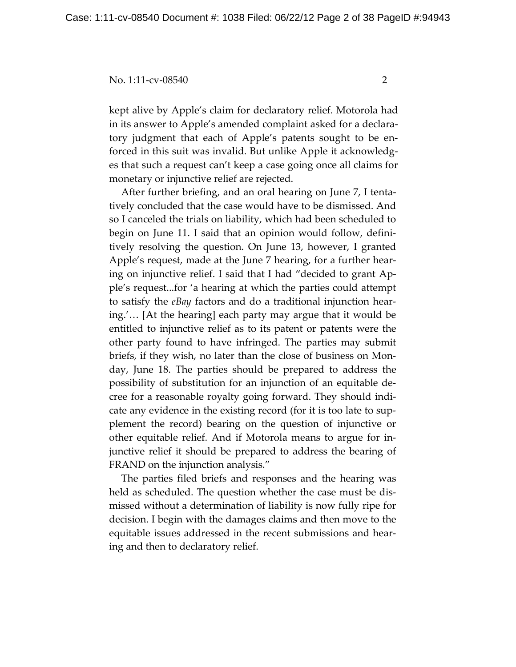kept alive by Apple's claim for declaratory relief. Motorola had in its answer to Apple's amended complaint asked for a declaratory judgment that each of Apple's patents sought to be enforced in this suit was invalid. But unlike Apple it acknowledges that such a request can't keep a case going once all claims for monetary or injunctive relief are rejected.

After further briefing, and an oral hearing on June 7, I tentatively concluded that the case would have to be dismissed. And so I canceled the trials on liability, which had been scheduled to begin on June 11. I said that an opinion would follow, definitively resolving the question. On June 13, however, I granted Apple's request, made at the June 7 hearing, for a further hearing on injunctive relief. I said that I had "decided to grant Apple's request...for 'a hearing at which the parties could attempt to satisfy the *eBay* factors and do a traditional injunction hearing.'… [At the hearing] each party may argue that it would be entitled to injunctive relief as to its patent or patents were the other party found to have infringed. The parties may submit briefs, if they wish, no later than the close of business on Monday, June 18. The parties should be prepared to address the possibility of substitution for an injunction of an equitable decree for a reasonable royalty going forward. They should indicate any evidence in the existing record (for it is too late to supplement the record) bearing on the question of injunctive or other equitable relief. And if Motorola means to argue for injunctive relief it should be prepared to address the bearing of FRAND on the injunction analysis."

The parties filed briefs and responses and the hearing was held as scheduled. The question whether the case must be dismissed without a determination of liability is now fully ripe for decision. I begin with the damages claims and then move to the equitable issues addressed in the recent submissions and hearing and then to declaratory relief.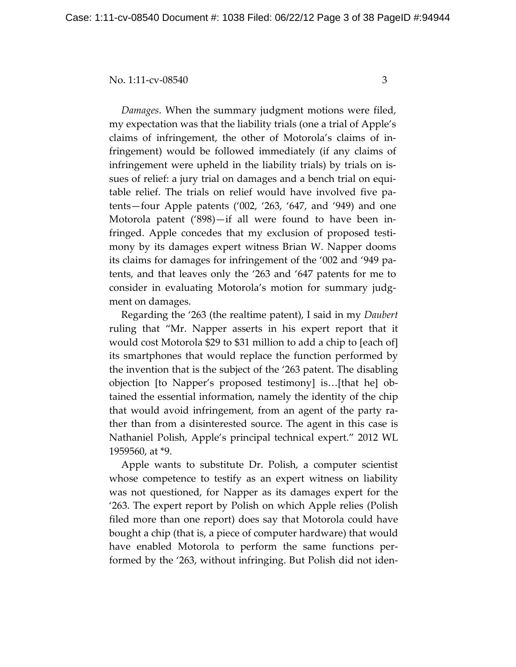*Damages*. When the summary judgment motions were filed, my expectation was that the liability trials (one a trial of Apple's claims of infringement, the other of Motorola's claims of infringement) would be followed immediately (if any claims of infringement were upheld in the liability trials) by trials on issues of relief: a jury trial on damages and a bench trial on equitable relief. The trials on relief would have involved five patents—four Apple patents ('002, '263, '647, and '949) and one Motorola patent ('898)—if all were found to have been infringed. Apple concedes that my exclusion of proposed testimony by its damages expert witness Brian W. Napper dooms its claims for damages for infringement of the '002 and '949 patents, and that leaves only the '263 and '647 patents for me to consider in evaluating Motorola's motion for summary judgment on damages.

Regarding the '263 (the realtime patent), I said in my *Daubert* ruling that "Mr. Napper asserts in his expert report that it would cost Motorola \$29 to \$31 million to add a chip to [each of] its smartphones that would replace the function performed by the invention that is the subject of the '263 patent. The disabling objection [to Napper's proposed testimony] is…[that he] obtained the essential information, namely the identity of the chip that would avoid infringement, from an agent of the party rather than from a disinterested source. The agent in this case is Nathaniel Polish, Apple's principal technical expert." 2012 WL 1959560, at \*9.

Apple wants to substitute Dr. Polish, a computer scientist whose competence to testify as an expert witness on liability was not questioned, for Napper as its damages expert for the '263. The expert report by Polish on which Apple relies (Polish filed more than one report) does say that Motorola could have bought a chip (that is, a piece of computer hardware) that would have enabled Motorola to perform the same functions performed by the '263, without infringing. But Polish did not iden-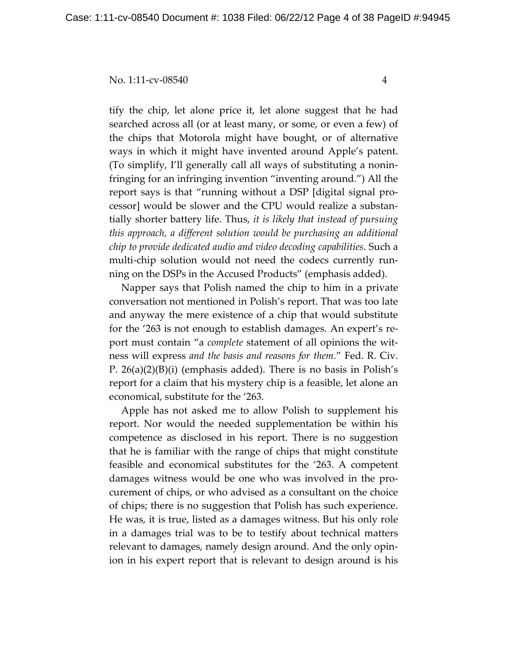tify the chip, let alone price it, let alone suggest that he had searched across all (or at least many, or some, or even a few) of the chips that Motorola might have bought, or of alternative ways in which it might have invented around Apple's patent. (To simplify, I'll generally call all ways of substituting a noninfringing for an infringing invention "inventing around.") All the report says is that "running without a DSP [digital signal processor] would be slower and the CPU would realize a substantially shorter battery life. Thus, *it is likely that instead of pursuing this approach, a different solution would be purchasing an additional chip to provide dedicated audio and video decoding capabilities*. Such a multi-chip solution would not need the codecs currently running on the DSPs in the Accused Products" (emphasis added).

Napper says that Polish named the chip to him in a private conversation not mentioned in Polish's report. That was too late and anyway the mere existence of a chip that would substitute for the '263 is not enough to establish damages. An expert's report must contain "a *complete* statement of all opinions the witness will express *and the basis and reasons for them*." Fed. R. Civ. P. 26(a)(2)(B)(i) (emphasis added). There is no basis in Polish's report for a claim that his mystery chip is a feasible, let alone an economical, substitute for the '263.

Apple has not asked me to allow Polish to supplement his report. Nor would the needed supplementation be within his competence as disclosed in his report. There is no suggestion that he is familiar with the range of chips that might constitute feasible and economical substitutes for the '263. A competent damages witness would be one who was involved in the procurement of chips, or who advised as a consultant on the choice of chips; there is no suggestion that Polish has such experience. He was, it is true, listed as a damages witness. But his only role in a damages trial was to be to testify about technical matters relevant to damages, namely design around. And the only opinion in his expert report that is relevant to design around is his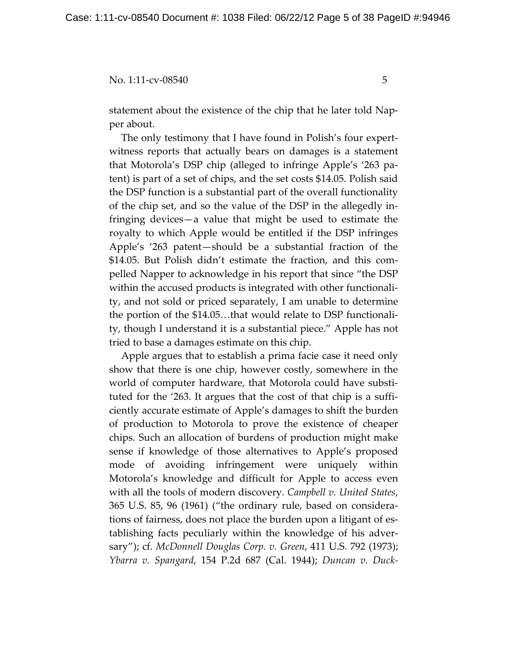statement about the existence of the chip that he later told Napper about.

The only testimony that I have found in Polish's four expertwitness reports that actually bears on damages is a statement that Motorola's DSP chip (alleged to infringe Apple's '263 patent) is part of a set of chips, and the set costs \$14.05. Polish said the DSP function is a substantial part of the overall functionality of the chip set, and so the value of the DSP in the allegedly infringing devices—a value that might be used to estimate the royalty to which Apple would be entitled if the DSP infringes Apple's '263 patent—should be a substantial fraction of the \$14.05. But Polish didn't estimate the fraction, and this compelled Napper to acknowledge in his report that since "the DSP within the accused products is integrated with other functionality, and not sold or priced separately, I am unable to determine the portion of the \$14.05…that would relate to DSP functionality, though I understand it is a substantial piece." Apple has not tried to base a damages estimate on this chip.

Apple argues that to establish a prima facie case it need only show that there is one chip, however costly, somewhere in the world of computer hardware, that Motorola could have substituted for the '263. It argues that the cost of that chip is a sufficiently accurate estimate of Apple's damages to shift the burden of production to Motorola to prove the existence of cheaper chips. Such an allocation of burdens of production might make sense if knowledge of those alternatives to Apple's proposed mode of avoiding infringement were uniquely within Motorola's knowledge and difficult for Apple to access even with all the tools of modern discovery. *Campbell v. United States*, 365 U.S. 85, 96 (1961) ("the ordinary rule, based on considerations of fairness, does not place the burden upon a litigant of establishing facts peculiarly within the knowledge of his adversary"); cf. *McDonnell Douglas Corp. v. Green*, 411 U.S. 792 (1973); *Ybarra v. Spangard*, 154 P.2d 687 (Cal. 1944); *Duncan v. Duck-*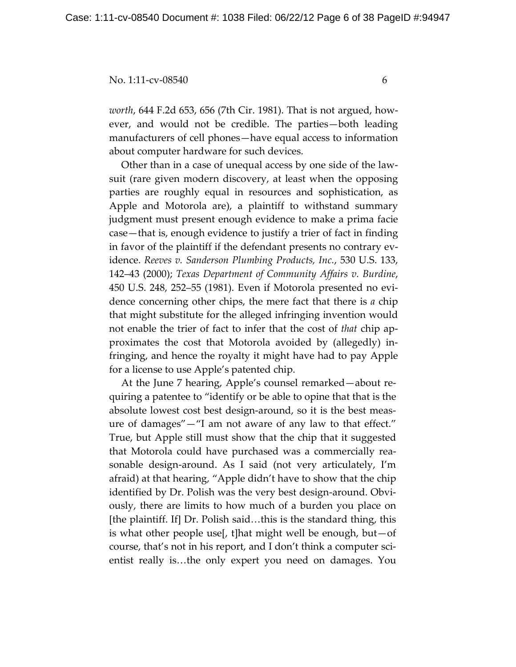*worth*, 644 F.2d 653, 656 (7th Cir. 1981). That is not argued, however, and would not be credible. The parties—both leading manufacturers of cell phones—have equal access to information about computer hardware for such devices.

Other than in a case of unequal access by one side of the lawsuit (rare given modern discovery, at least when the opposing parties are roughly equal in resources and sophistication, as Apple and Motorola are), a plaintiff to withstand summary judgment must present enough evidence to make a prima facie case—that is, enough evidence to justify a trier of fact in finding in favor of the plaintiff if the defendant presents no contrary evidence. *Reeves v. Sanderson Plumbing Products, Inc.*, 530 U.S. 133, 142–43 (2000); *Texas Department of Community Affairs v. Burdine*, 450 U.S. 248, 252–55 (1981). Even if Motorola presented no evidence concerning other chips, the mere fact that there is *a* chip that might substitute for the alleged infringing invention would not enable the trier of fact to infer that the cost of *that* chip approximates the cost that Motorola avoided by (allegedly) infringing, and hence the royalty it might have had to pay Apple for a license to use Apple's patented chip.

At the June 7 hearing, Apple's counsel remarked—about requiring a patentee to "identify or be able to opine that that is the absolute lowest cost best design-around, so it is the best measure of damages"—"I am not aware of any law to that effect." True, but Apple still must show that the chip that it suggested that Motorola could have purchased was a commercially reasonable design-around. As I said (not very articulately, I'm afraid) at that hearing, "Apple didn't have to show that the chip identified by Dr. Polish was the very best design-around. Obviously, there are limits to how much of a burden you place on [the plaintiff. If] Dr. Polish said…this is the standard thing, this is what other people use[, t]hat might well be enough, but—of course, that's not in his report, and I don't think a computer scientist really is…the only expert you need on damages. You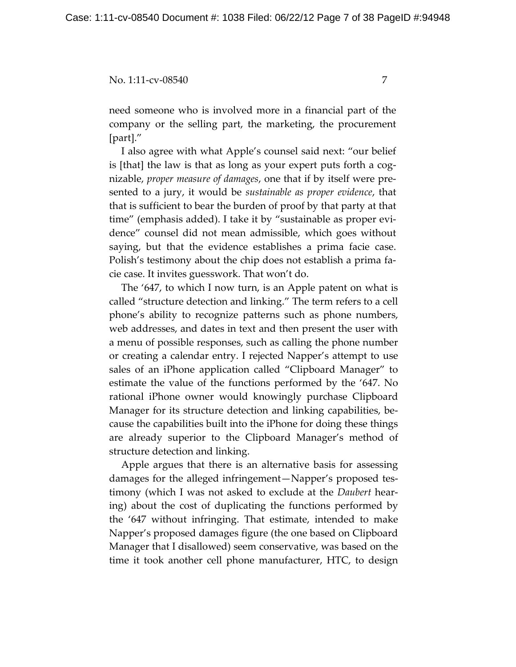need someone who is involved more in a financial part of the company or the selling part, the marketing, the procurement [part]."

I also agree with what Apple's counsel said next: "our belief is [that] the law is that as long as your expert puts forth a cognizable, *proper measure of damages*, one that if by itself were presented to a jury, it would be *sustainable as proper evidence*, that that is sufficient to bear the burden of proof by that party at that time" (emphasis added). I take it by "sustainable as proper evidence" counsel did not mean admissible, which goes without saying, but that the evidence establishes a prima facie case. Polish's testimony about the chip does not establish a prima facie case. It invites guesswork. That won't do.

The '647, to which I now turn, is an Apple patent on what is called "structure detection and linking." The term refers to a cell phone's ability to recognize patterns such as phone numbers, web addresses, and dates in text and then present the user with a menu of possible responses, such as calling the phone number or creating a calendar entry. I rejected Napper's attempt to use sales of an iPhone application called "Clipboard Manager" to estimate the value of the functions performed by the '647. No rational iPhone owner would knowingly purchase Clipboard Manager for its structure detection and linking capabilities, because the capabilities built into the iPhone for doing these things are already superior to the Clipboard Manager's method of structure detection and linking.

Apple argues that there is an alternative basis for assessing damages for the alleged infringement—Napper's proposed testimony (which I was not asked to exclude at the *Daubert* hearing) about the cost of duplicating the functions performed by the '647 without infringing. That estimate, intended to make Napper's proposed damages figure (the one based on Clipboard Manager that I disallowed) seem conservative, was based on the time it took another cell phone manufacturer, HTC, to design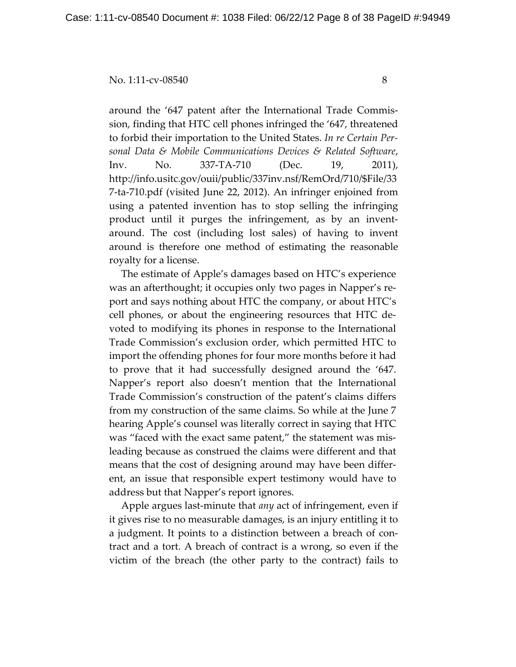around the '647 patent after the International Trade Commission, finding that HTC cell phones infringed the '647, threatened to forbid their importation to the United States. *In re Certain Personal Data & Mobile Communications Devices & Related Software*, Inv. No. 337-TA-710 (Dec. 19, 2011), http://info.usitc.gov/ouii/public/337inv.nsf/RemOrd/710/\$File/33 7-ta-710.pdf (visited June 22, 2012). An infringer enjoined from using a patented invention has to stop selling the infringing product until it purges the infringement, as by an inventaround. The cost (including lost sales) of having to invent around is therefore one method of estimating the reasonable royalty for a license.

The estimate of Apple's damages based on HTC's experience was an afterthought; it occupies only two pages in Napper's report and says nothing about HTC the company, or about HTC's cell phones, or about the engineering resources that HTC devoted to modifying its phones in response to the International Trade Commission's exclusion order, which permitted HTC to import the offending phones for four more months before it had to prove that it had successfully designed around the '647. Napper's report also doesn't mention that the International Trade Commission's construction of the patent's claims differs from my construction of the same claims. So while at the June 7 hearing Apple's counsel was literally correct in saying that HTC was "faced with the exact same patent," the statement was misleading because as construed the claims were different and that means that the cost of designing around may have been different, an issue that responsible expert testimony would have to address but that Napper's report ignores.

Apple argues last-minute that *any* act of infringement, even if it gives rise to no measurable damages, is an injury entitling it to a judgment. It points to a distinction between a breach of contract and a tort. A breach of contract is a wrong, so even if the victim of the breach (the other party to the contract) fails to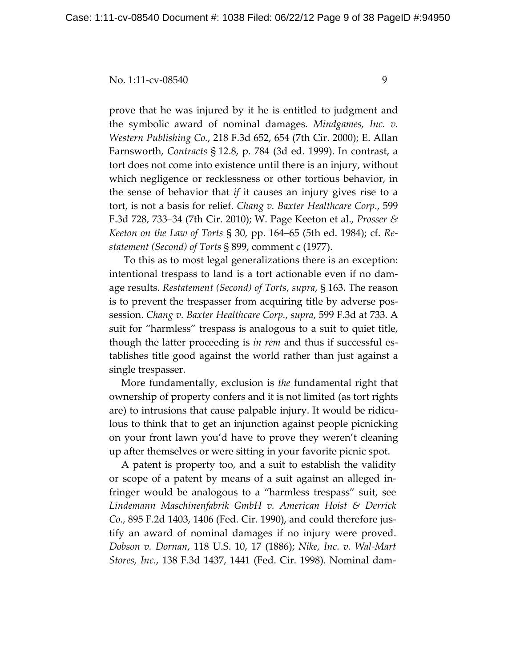prove that he was injured by it he is entitled to judgment and the symbolic award of nominal damages. *Mindgames, Inc. v. Western Publishing Co.*, 218 F.3d 652, 654 (7th Cir. 2000); E. Allan Farnsworth, *Contracts* § 12.8, p. 784 (3d ed. 1999). In contrast, a tort does not come into existence until there is an injury, without which negligence or recklessness or other tortious behavior, in the sense of behavior that *if* it causes an injury gives rise to a tort, is not a basis for relief. *Chang v. Baxter Healthcare Corp.*, 599 F.3d 728, 733–34 (7th Cir. 2010); W. Page Keeton et al., *Prosser & Keeton on the Law of Torts* § 30, pp. 164–65 (5th ed. 1984); cf. *Restatement (Second) of Torts* § 899, comment c (1977).

 To this as to most legal generalizations there is an exception: intentional trespass to land is a tort actionable even if no damage results. *Restatement (Second) of Torts*, *supra*, § 163. The reason is to prevent the trespasser from acquiring title by adverse possession. *Chang v. Baxter Healthcare Corp.*, *supra*, 599 F.3d at 733. A suit for "harmless" trespass is analogous to a suit to quiet title, though the latter proceeding is *in rem* and thus if successful establishes title good against the world rather than just against a single trespasser.

More fundamentally, exclusion is *the* fundamental right that ownership of property confers and it is not limited (as tort rights are) to intrusions that cause palpable injury. It would be ridiculous to think that to get an injunction against people picnicking on your front lawn you'd have to prove they weren't cleaning up after themselves or were sitting in your favorite picnic spot.

A patent is property too, and a suit to establish the validity or scope of a patent by means of a suit against an alleged infringer would be analogous to a "harmless trespass" suit, see *Lindemann Maschinenfabrik GmbH v. American Hoist & Derrick Co.*, 895 F.2d 1403, 1406 (Fed. Cir. 1990), and could therefore justify an award of nominal damages if no injury were proved. *Dobson v. Dornan*, 118 U.S. 10, 17 (1886); *Nike, Inc. v. Wal-Mart Stores, Inc.*, 138 F.3d 1437, 1441 (Fed. Cir. 1998). Nominal dam-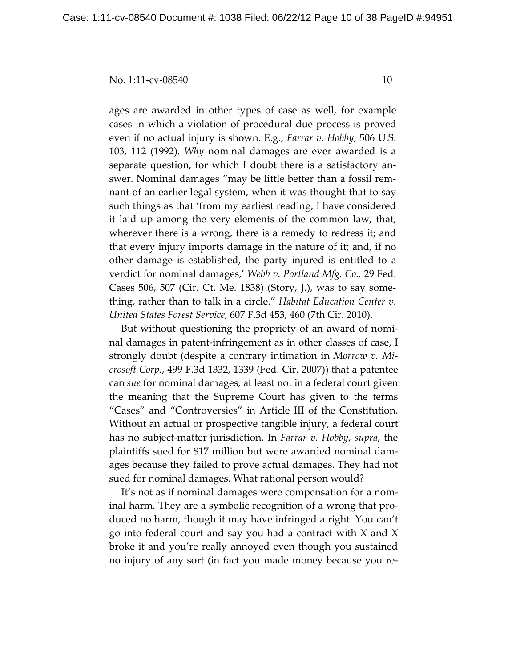ages are awarded in other types of case as well, for example cases in which a violation of procedural due process is proved even if no actual injury is shown. E.g., *Farrar v. Hobby*, 506 U.S. 103, 112 (1992). *Why* nominal damages are ever awarded is a separate question, for which I doubt there is a satisfactory answer. Nominal damages "may be little better than a fossil remnant of an earlier legal system, when it was thought that to say such things as that 'from my earliest reading, I have considered it laid up among the very elements of the common law, that, wherever there is a wrong, there is a remedy to redress it; and that every injury imports damage in the nature of it; and, if no other damage is established, the party injured is entitled to a verdict for nominal damages,' *Webb v. Portland Mfg. Co.,* 29 Fed. Cases 506, 507 (Cir. Ct. Me. 1838) (Story, J.), was to say something, rather than to talk in a circle." *Habitat Education Center v. United States Forest Service*, 607 F.3d 453, 460 (7th Cir. 2010).

But without questioning the propriety of an award of nominal damages in patent-infringement as in other classes of case, I strongly doubt (despite a contrary intimation in *Morrow v. Microsoft Corp*., 499 F.3d 1332, 1339 (Fed. Cir. 2007)) that a patentee can *sue* for nominal damages, at least not in a federal court given the meaning that the Supreme Court has given to the terms "Cases" and "Controversies" in Article III of the Constitution. Without an actual or prospective tangible injury, a federal court has no subject-matter jurisdiction. In *Farrar v. Hobby*, *supra*, the plaintiffs sued for \$17 million but were awarded nominal damages because they failed to prove actual damages. They had not sued for nominal damages. What rational person would?

It's not as if nominal damages were compensation for a nominal harm. They are a symbolic recognition of a wrong that produced no harm, though it may have infringed a right. You can't go into federal court and say you had a contract with X and X broke it and you're really annoyed even though you sustained no injury of any sort (in fact you made money because you re-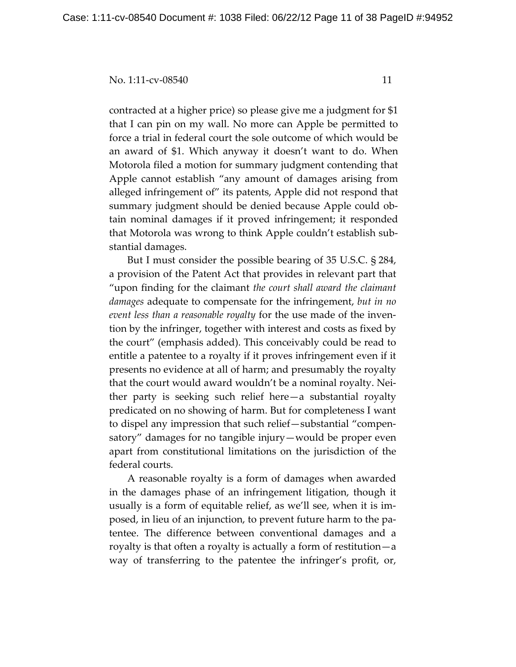contracted at a higher price) so please give me a judgment for \$1 that I can pin on my wall. No more can Apple be permitted to force a trial in federal court the sole outcome of which would be an award of \$1. Which anyway it doesn't want to do. When Motorola filed a motion for summary judgment contending that Apple cannot establish "any amount of damages arising from alleged infringement of" its patents, Apple did not respond that summary judgment should be denied because Apple could obtain nominal damages if it proved infringement; it responded that Motorola was wrong to think Apple couldn't establish substantial damages.

But I must consider the possible bearing of 35 U.S.C. § 284, a provision of the Patent Act that provides in relevant part that "upon finding for the claimant *the court shall award the claimant damages* adequate to compensate for the infringement, *but in no event less than a reasonable royalty* for the use made of the invention by the infringer, together with interest and costs as fixed by the court" (emphasis added). This conceivably could be read to entitle a patentee to a royalty if it proves infringement even if it presents no evidence at all of harm; and presumably the royalty that the court would award wouldn't be a nominal royalty. Neither party is seeking such relief here—a substantial royalty predicated on no showing of harm. But for completeness I want to dispel any impression that such relief—substantial "compensatory" damages for no tangible injury—would be proper even apart from constitutional limitations on the jurisdiction of the federal courts.

A reasonable royalty is a form of damages when awarded in the damages phase of an infringement litigation, though it usually is a form of equitable relief, as we'll see, when it is imposed, in lieu of an injunction, to prevent future harm to the patentee. The difference between conventional damages and a royalty is that often a royalty is actually a form of restitution—a way of transferring to the patentee the infringer's profit, or,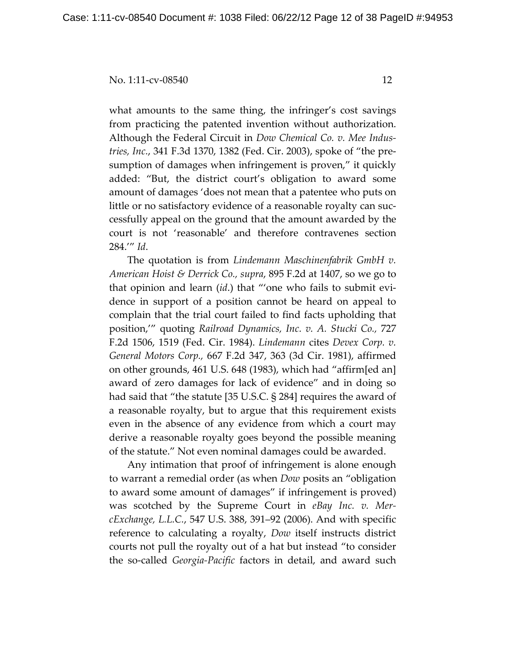what amounts to the same thing, the infringer's cost savings from practicing the patented invention without authorization. Although the Federal Circuit in *Dow Chemical Co. v. Mee Industries, Inc.*, 341 F.3d 1370, 1382 (Fed. Cir. 2003), spoke of "the presumption of damages when infringement is proven," it quickly added: "But, the district court's obligation to award some amount of damages 'does not mean that a patentee who puts on little or no satisfactory evidence of a reasonable royalty can successfully appeal on the ground that the amount awarded by the court is not 'reasonable' and therefore contravenes section 284.'" *Id*.

The quotation is from *Lindemann Maschinenfabrik GmbH v. American Hoist & Derrick Co., supra*, 895 F.2d at 1407, so we go to that opinion and learn (*id*.) that "'one who fails to submit evidence in support of a position cannot be heard on appeal to complain that the trial court failed to find facts upholding that position,'" quoting *Railroad Dynamics, Inc. v. A. Stucki Co.,* 727 F.2d 1506, 1519 (Fed. Cir. 1984). *Lindemann* cites *Devex Corp. v. General Motors Corp.,* 667 F.2d 347, 363 (3d Cir. 1981), affirmed on other grounds, 461 U.S. 648 (1983), which had "affirm[ed an] award of zero damages for lack of evidence" and in doing so had said that "the statute [35 U.S.C. § 284] requires the award of a reasonable royalty, but to argue that this requirement exists even in the absence of any evidence from which a court may derive a reasonable royalty goes beyond the possible meaning of the statute." Not even nominal damages could be awarded.

Any intimation that proof of infringement is alone enough to warrant a remedial order (as when *Dow* posits an "obligation to award some amount of damages" if infringement is proved) was scotched by the Supreme Court in *eBay Inc. v. MercExchange, L.L.C.*, 547 U.S. 388, 391–92 (2006). And with specific reference to calculating a royalty, *Dow* itself instructs district courts not pull the royalty out of a hat but instead "to consider the so-called *Georgia-Pacific* factors in detail, and award such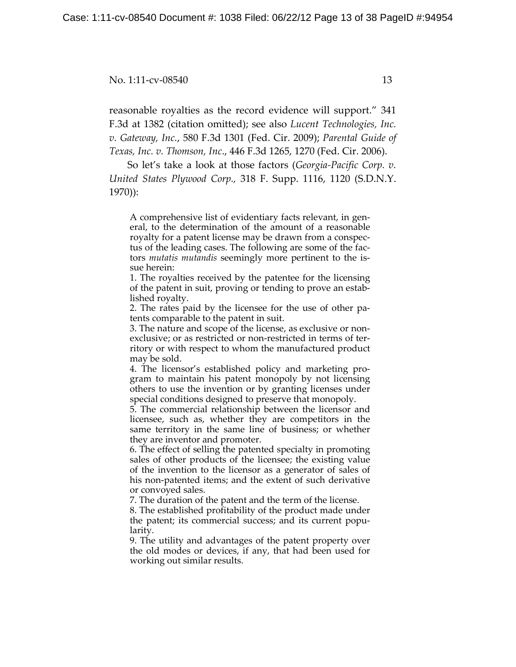reasonable royalties as the record evidence will support." 341 F.3d at 1382 (citation omitted); see also *Lucent Technologies, Inc. v. Gateway, Inc.*, 580 F.3d 1301 (Fed. Cir. 2009); *Parental Guide of Texas, Inc. v. Thomson, Inc*., 446 F.3d 1265, 1270 (Fed. Cir. 2006).

So let's take a look at those factors (*Georgia-Pacific Corp. v. United States Plywood Corp.,* 318 F. Supp. 1116, 1120 (S.D.N.Y. 1970)):

A comprehensive list of evidentiary facts relevant, in general, to the determination of the amount of a reasonable royalty for a patent license may be drawn from a conspectus of the leading cases. The following are some of the factors *mutatis mutandis* seemingly more pertinent to the issue herein:

1. The royalties received by the patentee for the licensing of the patent in suit, proving or tending to prove an established royalty.

2. The rates paid by the licensee for the use of other patents comparable to the patent in suit.

3. The nature and scope of the license, as exclusive or nonexclusive; or as restricted or non-restricted in terms of territory or with respect to whom the manufactured product may be sold.

4. The licensor's established policy and marketing program to maintain his patent monopoly by not licensing others to use the invention or by granting licenses under special conditions designed to preserve that monopoly.

5. The commercial relationship between the licensor and licensee, such as, whether they are competitors in the same territory in the same line of business; or whether they are inventor and promoter.

6. The effect of selling the patented specialty in promoting sales of other products of the licensee; the existing value of the invention to the licensor as a generator of sales of his non-patented items; and the extent of such derivative or convoyed sales.

7. The duration of the patent and the term of the license.

8. The established profitability of the product made under the patent; its commercial success; and its current popularity.

9. The utility and advantages of the patent property over the old modes or devices, if any, that had been used for working out similar results.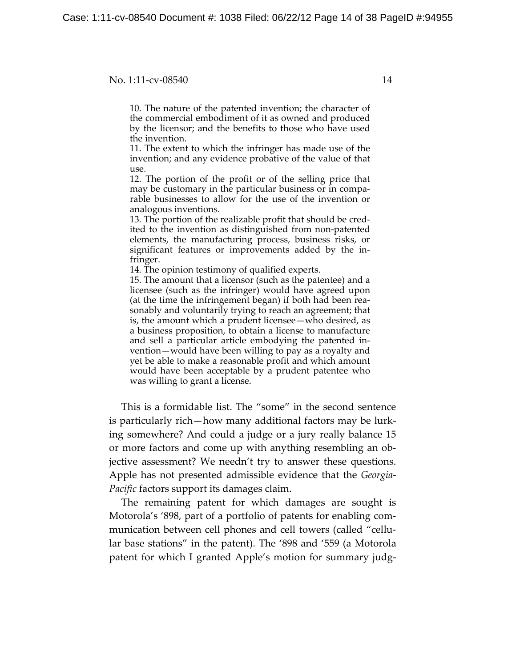10. The nature of the patented invention; the character of the commercial embodiment of it as owned and produced by the licensor; and the benefits to those who have used the invention.

11. The extent to which the infringer has made use of the invention; and any evidence probative of the value of that use.

12. The portion of the profit or of the selling price that may be customary in the particular business or in comparable businesses to allow for the use of the invention or analogous inventions.

13. The portion of the realizable profit that should be credited to the invention as distinguished from non-patented elements, the manufacturing process, business risks, or significant features or improvements added by the infringer.

14. The opinion testimony of qualified experts.

15. The amount that a licensor (such as the patentee) and a licensee (such as the infringer) would have agreed upon (at the time the infringement began) if both had been reasonably and voluntarily trying to reach an agreement; that is, the amount which a prudent licensee—who desired, as a business proposition, to obtain a license to manufacture and sell a particular article embodying the patented invention—would have been willing to pay as a royalty and yet be able to make a reasonable profit and which amount would have been acceptable by a prudent patentee who was willing to grant a license.

This is a formidable list. The "some" in the second sentence is particularly rich—how many additional factors may be lurking somewhere? And could a judge or a jury really balance 15 or more factors and come up with anything resembling an objective assessment? We needn't try to answer these questions. Apple has not presented admissible evidence that the *Georgia-Pacific* factors support its damages claim.

The remaining patent for which damages are sought is Motorola's '898, part of a portfolio of patents for enabling communication between cell phones and cell towers (called "cellular base stations" in the patent). The '898 and '559 (a Motorola patent for which I granted Apple's motion for summary judg-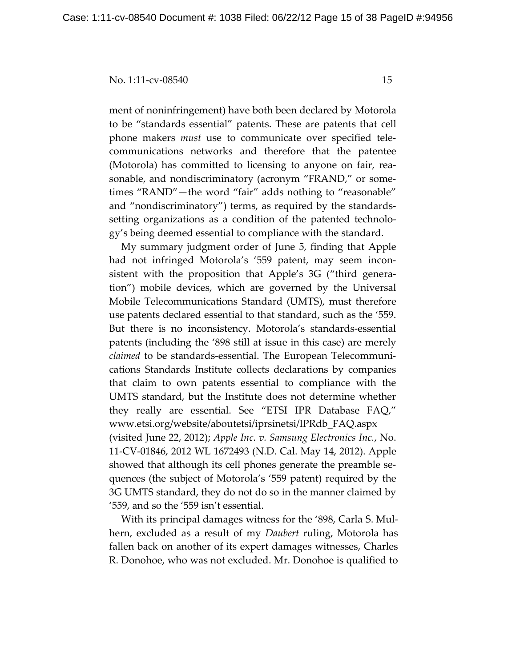ment of noninfringement) have both been declared by Motorola to be "standards essential" patents. These are patents that cell phone makers *must* use to communicate over specified telecommunications networks and therefore that the patentee (Motorola) has committed to licensing to anyone on fair, reasonable, and nondiscriminatory (acronym "FRAND," or sometimes "RAND"—the word "fair" adds nothing to "reasonable" and "nondiscriminatory") terms, as required by the standardssetting organizations as a condition of the patented technology's being deemed essential to compliance with the standard.

My summary judgment order of June 5, finding that Apple had not infringed Motorola's '559 patent, may seem inconsistent with the proposition that Apple's 3G ("third generation") mobile devices, which are governed by the Universal Mobile Telecommunications Standard (UMTS), must therefore use patents declared essential to that standard, such as the '559. But there is no inconsistency. Motorola's standards-essential patents (including the '898 still at issue in this case) are merely *claimed* to be standards-essential. The European Telecommunications Standards Institute collects declarations by companies that claim to own patents essential to compliance with the UMTS standard, but the Institute does not determine whether they really are essential. See "ETSI IPR Database FAQ," www.etsi.org/website/aboutetsi/iprsinetsi/IPRdb\_FAQ.aspx (visited June 22, 2012); *Apple Inc. v. Samsung Electronics Inc.*, No. 11-CV-01846, 2012 WL 1672493 (N.D. Cal. May 14, 2012). Apple showed that although its cell phones generate the preamble sequences (the subject of Motorola's '559 patent) required by the 3G UMTS standard, they do not do so in the manner claimed by '559, and so the '559 isn't essential.

With its principal damages witness for the '898, Carla S. Mulhern, excluded as a result of my *Daubert* ruling, Motorola has fallen back on another of its expert damages witnesses, Charles R. Donohoe, who was not excluded. Mr. Donohoe is qualified to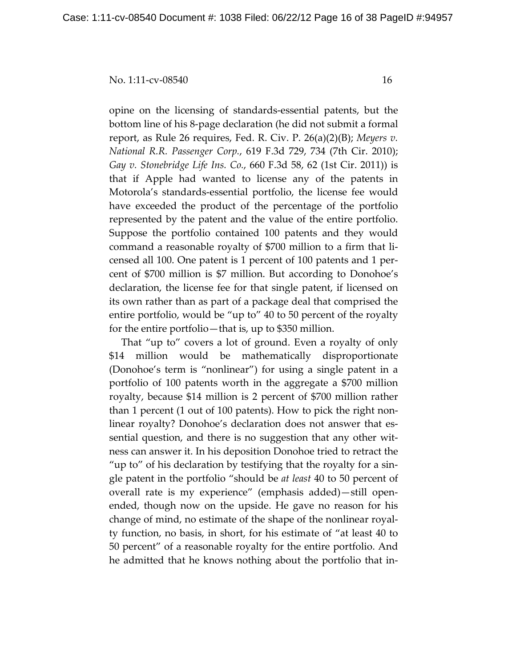opine on the licensing of standards-essential patents, but the bottom line of his 8-page declaration (he did not submit a formal report, as Rule 26 requires, Fed. R. Civ. P. 26(a)(2)(B); *Meyers v. National R.R. Passenger Corp.*, 619 F.3d 729, 734 (7th Cir. 2010); *Gay v. Stonebridge Life Ins. Co.*, 660 F.3d 58, 62 (1st Cir. 2011)) is that if Apple had wanted to license any of the patents in Motorola's standards-essential portfolio, the license fee would have exceeded the product of the percentage of the portfolio represented by the patent and the value of the entire portfolio. Suppose the portfolio contained 100 patents and they would command a reasonable royalty of \$700 million to a firm that licensed all 100. One patent is 1 percent of 100 patents and 1 percent of \$700 million is \$7 million. But according to Donohoe's declaration, the license fee for that single patent, if licensed on its own rather than as part of a package deal that comprised the entire portfolio, would be "up to" 40 to 50 percent of the royalty for the entire portfolio—that is, up to \$350 million.

That "up to" covers a lot of ground. Even a royalty of only \$14 million would be mathematically disproportionate (Donohoe's term is "nonlinear") for using a single patent in a portfolio of 100 patents worth in the aggregate a \$700 million royalty, because \$14 million is 2 percent of \$700 million rather than 1 percent (1 out of 100 patents). How to pick the right nonlinear royalty? Donohoe's declaration does not answer that essential question, and there is no suggestion that any other witness can answer it. In his deposition Donohoe tried to retract the "up to" of his declaration by testifying that the royalty for a single patent in the portfolio "should be *at least* 40 to 50 percent of overall rate is my experience" (emphasis added)—still openended, though now on the upside. He gave no reason for his change of mind, no estimate of the shape of the nonlinear royalty function, no basis, in short, for his estimate of "at least 40 to 50 percent" of a reasonable royalty for the entire portfolio. And he admitted that he knows nothing about the portfolio that in-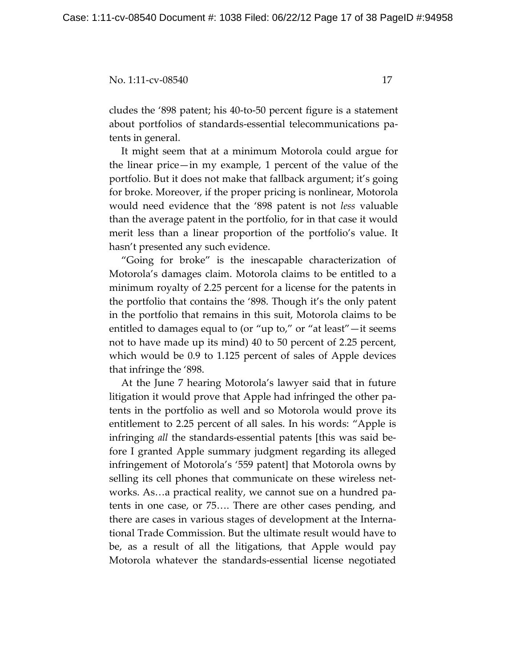cludes the '898 patent; his 40-to-50 percent figure is a statement about portfolios of standards-essential telecommunications patents in general.

It might seem that at a minimum Motorola could argue for the linear price—in my example, 1 percent of the value of the portfolio. But it does not make that fallback argument; it's going for broke. Moreover, if the proper pricing is nonlinear, Motorola would need evidence that the '898 patent is not *less* valuable than the average patent in the portfolio, for in that case it would merit less than a linear proportion of the portfolio's value. It hasn't presented any such evidence.

"Going for broke" is the inescapable characterization of Motorola's damages claim. Motorola claims to be entitled to a minimum royalty of 2.25 percent for a license for the patents in the portfolio that contains the '898. Though it's the only patent in the portfolio that remains in this suit, Motorola claims to be entitled to damages equal to (or "up to," or "at least"—it seems not to have made up its mind) 40 to 50 percent of 2.25 percent, which would be 0.9 to 1.125 percent of sales of Apple devices that infringe the '898.

At the June 7 hearing Motorola's lawyer said that in future litigation it would prove that Apple had infringed the other patents in the portfolio as well and so Motorola would prove its entitlement to 2.25 percent of all sales. In his words: "Apple is infringing *all* the standards-essential patents [this was said before I granted Apple summary judgment regarding its alleged infringement of Motorola's '559 patent] that Motorola owns by selling its cell phones that communicate on these wireless networks. As…a practical reality, we cannot sue on a hundred patents in one case, or 75…. There are other cases pending, and there are cases in various stages of development at the International Trade Commission. But the ultimate result would have to be, as a result of all the litigations, that Apple would pay Motorola whatever the standards-essential license negotiated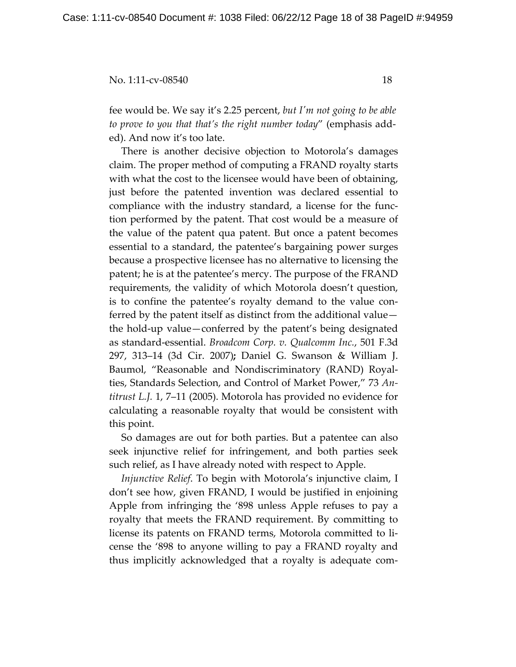fee would be. We say it's 2.25 percent, *but I'm not going to be able to prove to you that that's the right number today*" (emphasis added). And now it's too late.

There is another decisive objection to Motorola's damages claim. The proper method of computing a FRAND royalty starts with what the cost to the licensee would have been of obtaining, just before the patented invention was declared essential to compliance with the industry standard, a license for the function performed by the patent. That cost would be a measure of the value of the patent qua patent. But once a patent becomes essential to a standard, the patentee's bargaining power surges because a prospective licensee has no alternative to licensing the patent; he is at the patentee's mercy. The purpose of the FRAND requirements, the validity of which Motorola doesn't question, is to confine the patentee's royalty demand to the value conferred by the patent itself as distinct from the additional value the hold-up value—conferred by the patent's being designated as standard-essential. *Broadcom Corp. v. Qualcomm Inc.*, 501 F.3d 297, 313–14 (3d Cir. 2007)**;** Daniel G. Swanson & William J. Baumol, "Reasonable and Nondiscriminatory (RAND) Royalties, Standards Selection, and Control of Market Power," 73 *Antitrust L.J.* 1, 7–11 (2005). Motorola has provided no evidence for calculating a reasonable royalty that would be consistent with this point.

So damages are out for both parties. But a patentee can also seek injunctive relief for infringement, and both parties seek such relief, as I have already noted with respect to Apple.

*Injunctive Relief*. To begin with Motorola's injunctive claim, I don't see how, given FRAND, I would be justified in enjoining Apple from infringing the '898 unless Apple refuses to pay a royalty that meets the FRAND requirement. By committing to license its patents on FRAND terms, Motorola committed to license the '898 to anyone willing to pay a FRAND royalty and thus implicitly acknowledged that a royalty is adequate com-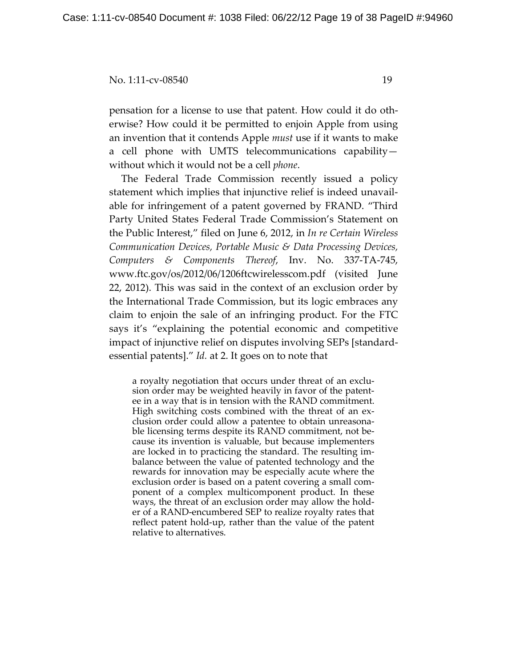pensation for a license to use that patent. How could it do otherwise? How could it be permitted to enjoin Apple from using an invention that it contends Apple *must* use if it wants to make a cell phone with UMTS telecommunications capability without which it would not be a cell *phone*.

The Federal Trade Commission recently issued a policy statement which implies that injunctive relief is indeed unavailable for infringement of a patent governed by FRAND. "Third Party United States Federal Trade Commission's Statement on the Public Interest," filed on June 6, 2012, in *In re Certain Wireless Communication Devices, Portable Music & Data Processing Devices, Computers & Components Thereof*, Inv. No. 337-TA-745, www.ftc.gov/os/2012/06/1206ftcwirelesscom.pdf (visited June 22, 2012). This was said in the context of an exclusion order by the International Trade Commission, but its logic embraces any claim to enjoin the sale of an infringing product. For the FTC says it's "explaining the potential economic and competitive impact of injunctive relief on disputes involving SEPs [standardessential patents]." *Id.* at 2. It goes on to note that

a royalty negotiation that occurs under threat of an exclusion order may be weighted heavily in favor of the patentee in a way that is in tension with the RAND commitment. High switching costs combined with the threat of an exclusion order could allow a patentee to obtain unreasonable licensing terms despite its RAND commitment, not because its invention is valuable, but because implementers are locked in to practicing the standard. The resulting imbalance between the value of patented technology and the rewards for innovation may be especially acute where the exclusion order is based on a patent covering a small component of a complex multicomponent product. In these ways, the threat of an exclusion order may allow the holder of a RAND-encumbered SEP to realize royalty rates that reflect patent hold-up, rather than the value of the patent relative to alternatives.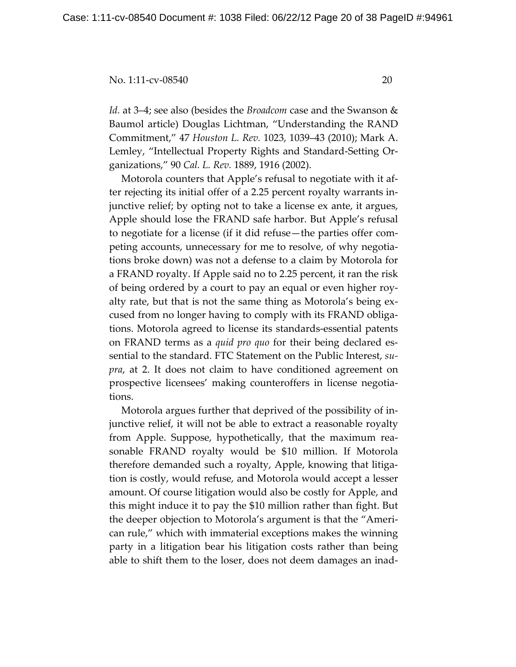*Id.* at 3–4; see also (besides the *Broadcom* case and the Swanson & Baumol article) Douglas Lichtman, "Understanding the RAND Commitment," 47 *Houston L. Rev.* 1023, 1039–43 (2010); Mark A. Lemley, "Intellectual Property Rights and Standard-Setting Organizations," 90 *Cal. L. Rev.* 1889, 1916 (2002).

Motorola counters that Apple's refusal to negotiate with it after rejecting its initial offer of a 2.25 percent royalty warrants injunctive relief; by opting not to take a license ex ante, it argues, Apple should lose the FRAND safe harbor. But Apple's refusal to negotiate for a license (if it did refuse—the parties offer competing accounts, unnecessary for me to resolve, of why negotiations broke down) was not a defense to a claim by Motorola for a FRAND royalty. If Apple said no to 2.25 percent, it ran the risk of being ordered by a court to pay an equal or even higher royalty rate, but that is not the same thing as Motorola's being excused from no longer having to comply with its FRAND obligations. Motorola agreed to license its standards-essential patents on FRAND terms as a *quid pro quo* for their being declared essential to the standard. FTC Statement on the Public Interest, *supra*, at 2. It does not claim to have conditioned agreement on prospective licensees' making counteroffers in license negotiations.

Motorola argues further that deprived of the possibility of injunctive relief, it will not be able to extract a reasonable royalty from Apple. Suppose, hypothetically, that the maximum reasonable FRAND royalty would be \$10 million. If Motorola therefore demanded such a royalty, Apple, knowing that litigation is costly, would refuse, and Motorola would accept a lesser amount. Of course litigation would also be costly for Apple, and this might induce it to pay the \$10 million rather than fight. But the deeper objection to Motorola's argument is that the "American rule," which with immaterial exceptions makes the winning party in a litigation bear his litigation costs rather than being able to shift them to the loser, does not deem damages an inad-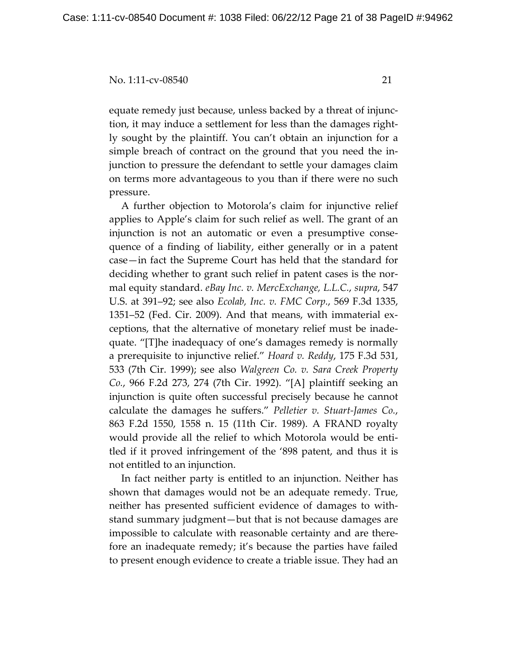equate remedy just because, unless backed by a threat of injunction, it may induce a settlement for less than the damages rightly sought by the plaintiff. You can't obtain an injunction for a simple breach of contract on the ground that you need the injunction to pressure the defendant to settle your damages claim on terms more advantageous to you than if there were no such pressure.

A further objection to Motorola's claim for injunctive relief applies to Apple's claim for such relief as well. The grant of an injunction is not an automatic or even a presumptive consequence of a finding of liability, either generally or in a patent case—in fact the Supreme Court has held that the standard for deciding whether to grant such relief in patent cases is the normal equity standard. *eBay Inc. v. MercExchange, L.L.C.*, *supra*, 547 U.S. at 391–92; see also *Ecolab, Inc. v. FMC Corp.*, 569 F.3d 1335, 1351–52 (Fed. Cir. 2009). And that means, with immaterial exceptions, that the alternative of monetary relief must be inadequate. "[T]he inadequacy of one's damages remedy is normally a prerequisite to injunctive relief." *Hoard v. Reddy*, 175 F.3d 531, 533 (7th Cir. 1999); see also *Walgreen Co. v. Sara Creek Property Co.*, 966 F.2d 273, 274 (7th Cir. 1992). "[A] plaintiff seeking an injunction is quite often successful precisely because he cannot calculate the damages he suffers." *Pelletier v. Stuart-James Co.*, 863 F.2d 1550, 1558 n. 15 (11th Cir. 1989). A FRAND royalty would provide all the relief to which Motorola would be entitled if it proved infringement of the '898 patent, and thus it is not entitled to an injunction.

In fact neither party is entitled to an injunction. Neither has shown that damages would not be an adequate remedy. True, neither has presented sufficient evidence of damages to withstand summary judgment—but that is not because damages are impossible to calculate with reasonable certainty and are therefore an inadequate remedy; it's because the parties have failed to present enough evidence to create a triable issue. They had an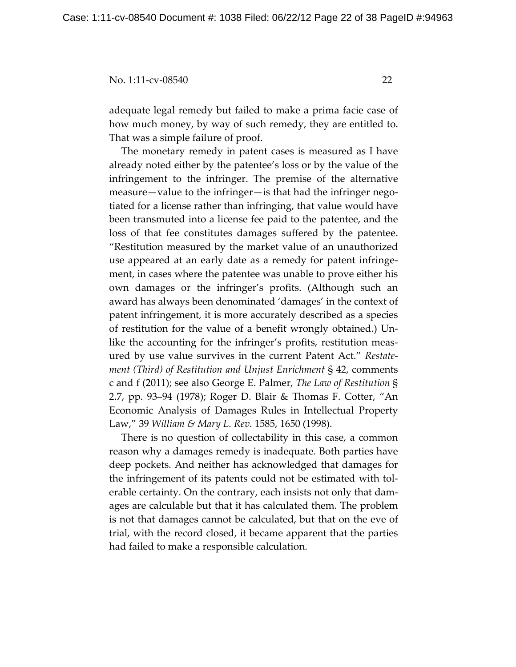adequate legal remedy but failed to make a prima facie case of how much money, by way of such remedy, they are entitled to. That was a simple failure of proof.

The monetary remedy in patent cases is measured as I have already noted either by the patentee's loss or by the value of the infringement to the infringer. The premise of the alternative measure—value to the infringer—is that had the infringer negotiated for a license rather than infringing, that value would have been transmuted into a license fee paid to the patentee, and the loss of that fee constitutes damages suffered by the patentee. "Restitution measured by the market value of an unauthorized use appeared at an early date as a remedy for patent infringement, in cases where the patentee was unable to prove either his own damages or the infringer's profits. (Although such an award has always been denominated 'damages' in the context of patent infringement, it is more accurately described as a species of restitution for the value of a benefit wrongly obtained.) Unlike the accounting for the infringer's profits, restitution measured by use value survives in the current Patent Act." *Restatement (Third) of Restitution and Unjust Enrichment* § 42, comments c and f (2011); see also George E. Palmer, *The Law of Restitution* § 2.7, pp. 93–94 (1978); Roger D. Blair & Thomas F. Cotter, "An Economic Analysis of Damages Rules in Intellectual Property Law," 39 *William & Mary L. Rev.* 1585, 1650 (1998).

There is no question of collectability in this case, a common reason why a damages remedy is inadequate. Both parties have deep pockets. And neither has acknowledged that damages for the infringement of its patents could not be estimated with tolerable certainty. On the contrary, each insists not only that damages are calculable but that it has calculated them. The problem is not that damages cannot be calculated, but that on the eve of trial, with the record closed, it became apparent that the parties had failed to make a responsible calculation.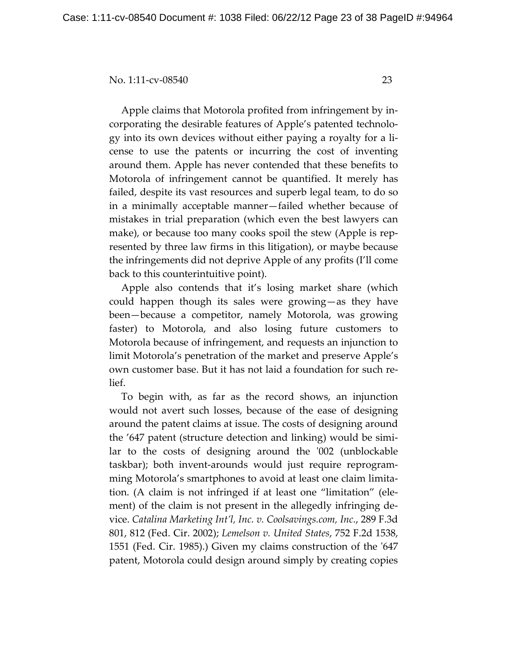Apple claims that Motorola profited from infringement by incorporating the desirable features of Apple's patented technology into its own devices without either paying a royalty for a license to use the patents or incurring the cost of inventing around them. Apple has never contended that these benefits to Motorola of infringement cannot be quantified. It merely has failed, despite its vast resources and superb legal team, to do so in a minimally acceptable manner—failed whether because of mistakes in trial preparation (which even the best lawyers can make), or because too many cooks spoil the stew (Apple is represented by three law firms in this litigation), or maybe because the infringements did not deprive Apple of any profits (I'll come back to this counterintuitive point).

Apple also contends that it's losing market share (which could happen though its sales were growing—as they have been—because a competitor, namely Motorola, was growing faster) to Motorola, and also losing future customers to Motorola because of infringement, and requests an injunction to limit Motorola's penetration of the market and preserve Apple's own customer base. But it has not laid a foundation for such relief.

To begin with, as far as the record shows, an injunction would not avert such losses, because of the ease of designing around the patent claims at issue. The costs of designing around the '647 patent (structure detection and linking) would be similar to the costs of designing around the '002 (unblockable taskbar); both invent-arounds would just require reprogramming Motorola's smartphones to avoid at least one claim limitation. (A claim is not infringed if at least one "limitation" (element) of the claim is not present in the allegedly infringing device. *Catalina Marketing Int'l, Inc. v. Coolsavings.com, Inc.*, 289 F.3d 801, 812 (Fed. Cir. 2002); *Lemelson v. United States*, 752 F.2d 1538, 1551 (Fed. Cir. 1985).) Given my claims construction of the '647 patent, Motorola could design around simply by creating copies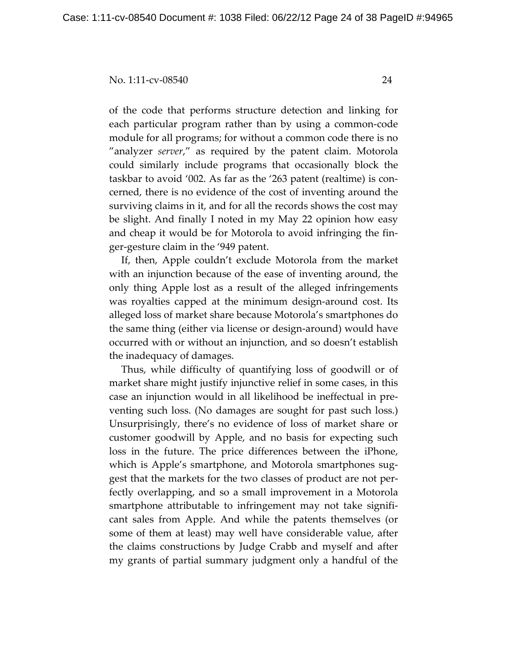of the code that performs structure detection and linking for each particular program rather than by using a common-code module for all programs; for without a common code there is no "analyzer *server*," as required by the patent claim. Motorola could similarly include programs that occasionally block the taskbar to avoid '002. As far as the '263 patent (realtime) is concerned, there is no evidence of the cost of inventing around the surviving claims in it, and for all the records shows the cost may be slight. And finally I noted in my May 22 opinion how easy and cheap it would be for Motorola to avoid infringing the finger-gesture claim in the '949 patent.

If, then, Apple couldn't exclude Motorola from the market with an injunction because of the ease of inventing around, the only thing Apple lost as a result of the alleged infringements was royalties capped at the minimum design-around cost. Its alleged loss of market share because Motorola's smartphones do the same thing (either via license or design-around) would have occurred with or without an injunction, and so doesn't establish the inadequacy of damages.

Thus, while difficulty of quantifying loss of goodwill or of market share might justify injunctive relief in some cases, in this case an injunction would in all likelihood be ineffectual in preventing such loss. (No damages are sought for past such loss.) Unsurprisingly, there's no evidence of loss of market share or customer goodwill by Apple, and no basis for expecting such loss in the future. The price differences between the iPhone, which is Apple's smartphone, and Motorola smartphones suggest that the markets for the two classes of product are not perfectly overlapping, and so a small improvement in a Motorola smartphone attributable to infringement may not take significant sales from Apple. And while the patents themselves (or some of them at least) may well have considerable value, after the claims constructions by Judge Crabb and myself and after my grants of partial summary judgment only a handful of the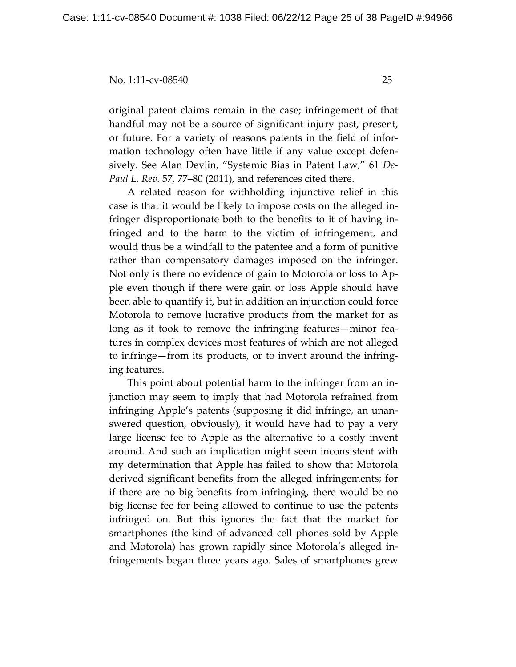original patent claims remain in the case; infringement of that handful may not be a source of significant injury past, present, or future. For a variety of reasons patents in the field of information technology often have little if any value except defensively. See Alan Devlin, "Systemic Bias in Patent Law," 61 *De-Paul L. Rev.* 57, 77–80 (2011), and references cited there.

 A related reason for withholding injunctive relief in this case is that it would be likely to impose costs on the alleged infringer disproportionate both to the benefits to it of having infringed and to the harm to the victim of infringement, and would thus be a windfall to the patentee and a form of punitive rather than compensatory damages imposed on the infringer. Not only is there no evidence of gain to Motorola or loss to Apple even though if there were gain or loss Apple should have been able to quantify it, but in addition an injunction could force Motorola to remove lucrative products from the market for as long as it took to remove the infringing features—minor features in complex devices most features of which are not alleged to infringe—from its products, or to invent around the infringing features.

This point about potential harm to the infringer from an injunction may seem to imply that had Motorola refrained from infringing Apple's patents (supposing it did infringe, an unanswered question, obviously), it would have had to pay a very large license fee to Apple as the alternative to a costly invent around. And such an implication might seem inconsistent with my determination that Apple has failed to show that Motorola derived significant benefits from the alleged infringements; for if there are no big benefits from infringing, there would be no big license fee for being allowed to continue to use the patents infringed on. But this ignores the fact that the market for smartphones (the kind of advanced cell phones sold by Apple and Motorola) has grown rapidly since Motorola's alleged infringements began three years ago. Sales of smartphones grew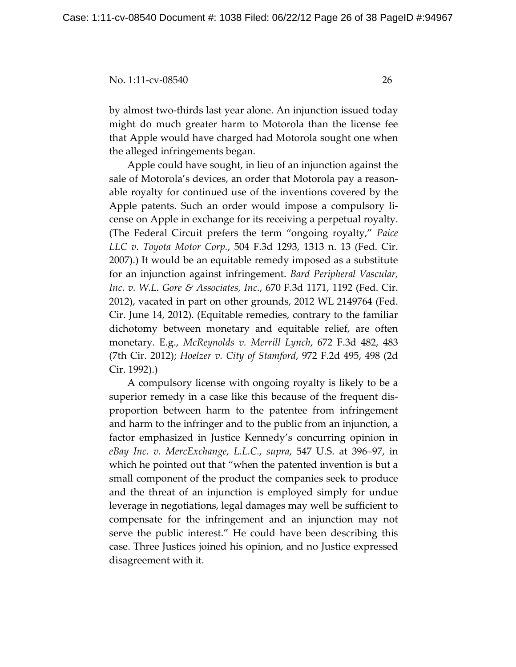by almost two-thirds last year alone. An injunction issued today might do much greater harm to Motorola than the license fee that Apple would have charged had Motorola sought one when the alleged infringements began.

 Apple could have sought, in lieu of an injunction against the sale of Motorola's devices, an order that Motorola pay a reasonable royalty for continued use of the inventions covered by the Apple patents. Such an order would impose a compulsory license on Apple in exchange for its receiving a perpetual royalty. (The Federal Circuit prefers the term "ongoing royalty," *Paice LLC v. Toyota Motor Corp.*, 504 F.3d 1293, 1313 n. 13 (Fed. Cir. 2007).) It would be an equitable remedy imposed as a substitute for an injunction against infringement. *Bard Peripheral Vascular, Inc. v. W.L. Gore & Associates, Inc.*, 670 F.3d 1171, 1192 (Fed. Cir. 2012), vacated in part on other grounds, 2012 WL 2149764 (Fed. Cir. June 14, 2012). (Equitable remedies, contrary to the familiar dichotomy between monetary and equitable relief, are often monetary. E.g., *McReynolds v. Merrill Lynch*, 672 F.3d 482, 483 (7th Cir. 2012); *Hoelzer v. City of Stamford*, 972 F.2d 495, 498 (2d Cir. 1992).)

A compulsory license with ongoing royalty is likely to be a superior remedy in a case like this because of the frequent disproportion between harm to the patentee from infringement and harm to the infringer and to the public from an injunction, a factor emphasized in Justice Kennedy's concurring opinion in *eBay Inc. v. MercExchange, L.L.C.*, *supra*, 547 U.S. at 396–97, in which he pointed out that "when the patented invention is but a small component of the product the companies seek to produce and the threat of an injunction is employed simply for undue leverage in negotiations, legal damages may well be sufficient to compensate for the infringement and an injunction may not serve the public interest." He could have been describing this case. Three Justices joined his opinion, and no Justice expressed disagreement with it.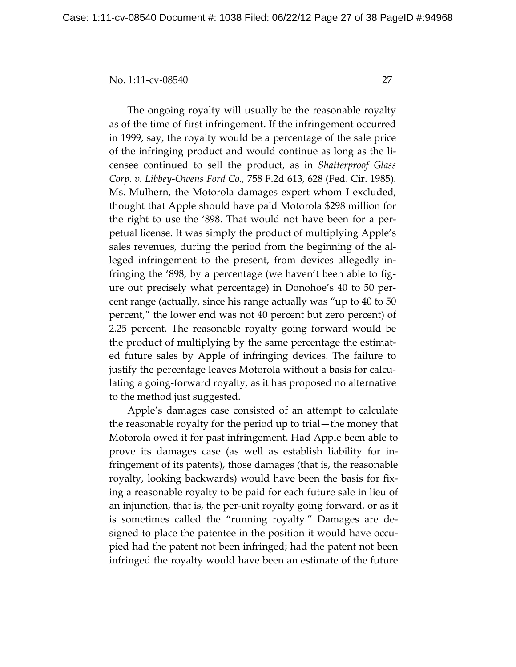The ongoing royalty will usually be the reasonable royalty as of the time of first infringement. If the infringement occurred in 1999, say, the royalty would be a percentage of the sale price of the infringing product and would continue as long as the licensee continued to sell the product, as in *Shatterproof Glass Corp. v. Libbey-Owens Ford Co.,* 758 F.2d 613, 628 (Fed. Cir. 1985). Ms. Mulhern, the Motorola damages expert whom I excluded, thought that Apple should have paid Motorola \$298 million for the right to use the '898. That would not have been for a perpetual license. It was simply the product of multiplying Apple's sales revenues, during the period from the beginning of the alleged infringement to the present, from devices allegedly infringing the '898, by a percentage (we haven't been able to figure out precisely what percentage) in Donohoe's 40 to 50 percent range (actually, since his range actually was "up to 40 to 50 percent," the lower end was not 40 percent but zero percent) of 2.25 percent. The reasonable royalty going forward would be the product of multiplying by the same percentage the estimated future sales by Apple of infringing devices. The failure to justify the percentage leaves Motorola without a basis for calculating a going-forward royalty, as it has proposed no alternative to the method just suggested.

Apple's damages case consisted of an attempt to calculate the reasonable royalty for the period up to trial—the money that Motorola owed it for past infringement. Had Apple been able to prove its damages case (as well as establish liability for infringement of its patents), those damages (that is, the reasonable royalty, looking backwards) would have been the basis for fixing a reasonable royalty to be paid for each future sale in lieu of an injunction, that is, the per-unit royalty going forward, or as it is sometimes called the "running royalty." Damages are designed to place the patentee in the position it would have occupied had the patent not been infringed; had the patent not been infringed the royalty would have been an estimate of the future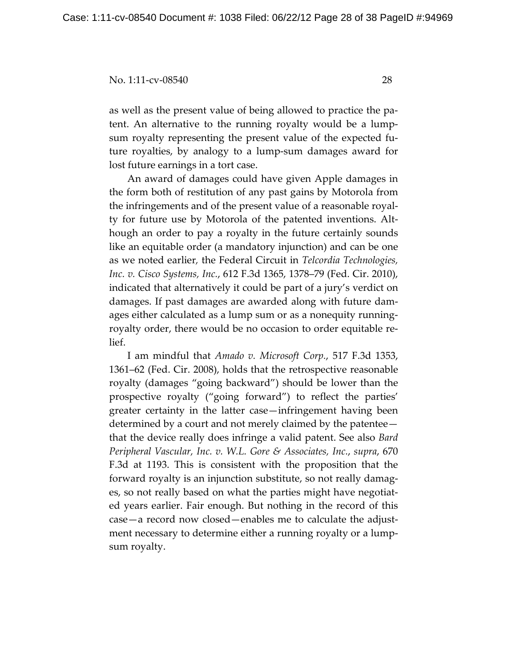as well as the present value of being allowed to practice the patent. An alternative to the running royalty would be a lumpsum royalty representing the present value of the expected future royalties, by analogy to a lump-sum damages award for lost future earnings in a tort case.

An award of damages could have given Apple damages in the form both of restitution of any past gains by Motorola from the infringements and of the present value of a reasonable royalty for future use by Motorola of the patented inventions. Although an order to pay a royalty in the future certainly sounds like an equitable order (a mandatory injunction) and can be one as we noted earlier*,* the Federal Circuit in *Telcordia Technologies, Inc. v. Cisco Systems, Inc.*, 612 F.3d 1365, 1378–79 (Fed. Cir. 2010), indicated that alternatively it could be part of a jury's verdict on damages. If past damages are awarded along with future damages either calculated as a lump sum or as a nonequity runningroyalty order, there would be no occasion to order equitable relief.

I am mindful that *Amado v. Microsoft Corp.*, 517 F.3d 1353, 1361–62 (Fed. Cir. 2008), holds that the retrospective reasonable royalty (damages "going backward") should be lower than the prospective royalty ("going forward") to reflect the parties' greater certainty in the latter case—infringement having been determined by a court and not merely claimed by the patentee that the device really does infringe a valid patent. See also *Bard Peripheral Vascular, Inc. v. W.L. Gore & Associates, Inc.*, *supra*, 670 F.3d at 1193. This is consistent with the proposition that the forward royalty is an injunction substitute, so not really damages, so not really based on what the parties might have negotiated years earlier. Fair enough. But nothing in the record of this case—a record now closed—enables me to calculate the adjustment necessary to determine either a running royalty or a lumpsum royalty.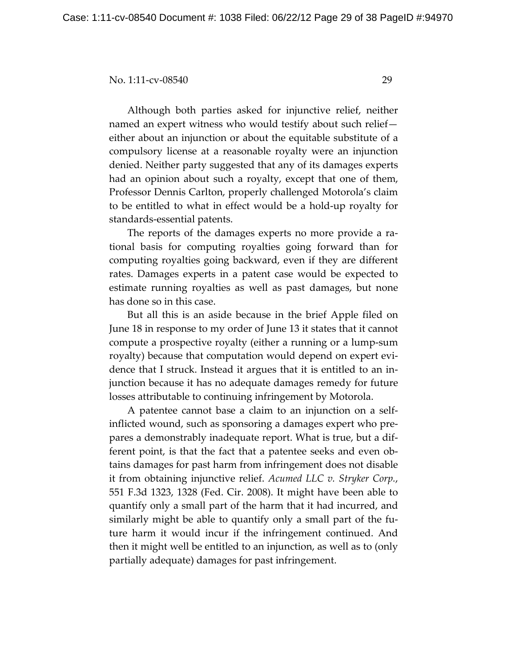Although both parties asked for injunctive relief, neither named an expert witness who would testify about such relief either about an injunction or about the equitable substitute of a compulsory license at a reasonable royalty were an injunction denied. Neither party suggested that any of its damages experts had an opinion about such a royalty, except that one of them, Professor Dennis Carlton, properly challenged Motorola's claim to be entitled to what in effect would be a hold-up royalty for standards-essential patents.

The reports of the damages experts no more provide a rational basis for computing royalties going forward than for computing royalties going backward, even if they are different rates. Damages experts in a patent case would be expected to estimate running royalties as well as past damages, but none has done so in this case.

 But all this is an aside because in the brief Apple filed on June 18 in response to my order of June 13 it states that it cannot compute a prospective royalty (either a running or a lump-sum royalty) because that computation would depend on expert evidence that I struck. Instead it argues that it is entitled to an injunction because it has no adequate damages remedy for future losses attributable to continuing infringement by Motorola.

 A patentee cannot base a claim to an injunction on a selfinflicted wound, such as sponsoring a damages expert who prepares a demonstrably inadequate report. What is true, but a different point, is that the fact that a patentee seeks and even obtains damages for past harm from infringement does not disable it from obtaining injunctive relief. *Acumed LLC v. Stryker Corp.*, 551 F.3d 1323, 1328 (Fed. Cir. 2008). It might have been able to quantify only a small part of the harm that it had incurred, and similarly might be able to quantify only a small part of the future harm it would incur if the infringement continued. And then it might well be entitled to an injunction, as well as to (only partially adequate) damages for past infringement.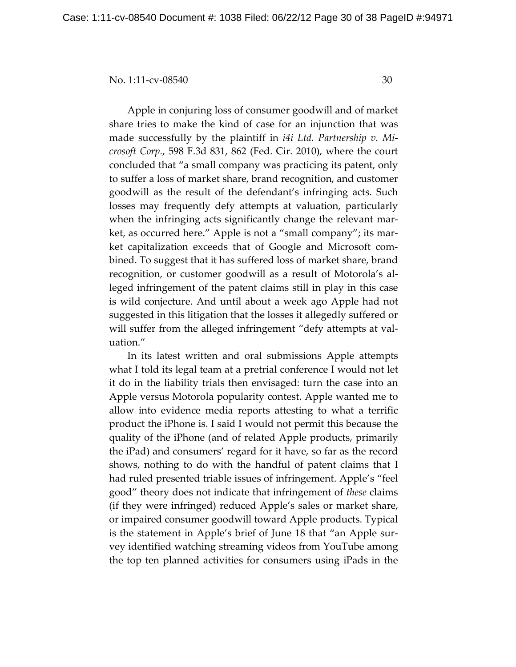Apple in conjuring loss of consumer goodwill and of market share tries to make the kind of case for an injunction that was made successfully by the plaintiff in *i4i Ltd. Partnership v. Microsoft Corp.*, 598 F.3d 831, 862 (Fed. Cir. 2010), where the court concluded that "a small company was practicing its patent, only to suffer a loss of market share, brand recognition, and customer goodwill as the result of the defendant's infringing acts. Such losses may frequently defy attempts at valuation, particularly when the infringing acts significantly change the relevant market, as occurred here." Apple is not a "small company"; its market capitalization exceeds that of Google and Microsoft combined. To suggest that it has suffered loss of market share, brand recognition, or customer goodwill as a result of Motorola's alleged infringement of the patent claims still in play in this case is wild conjecture. And until about a week ago Apple had not suggested in this litigation that the losses it allegedly suffered or will suffer from the alleged infringement "defy attempts at valuation."

 In its latest written and oral submissions Apple attempts what I told its legal team at a pretrial conference I would not let it do in the liability trials then envisaged: turn the case into an Apple versus Motorola popularity contest. Apple wanted me to allow into evidence media reports attesting to what a terrific product the iPhone is. I said I would not permit this because the quality of the iPhone (and of related Apple products, primarily the iPad) and consumers' regard for it have, so far as the record shows, nothing to do with the handful of patent claims that I had ruled presented triable issues of infringement. Apple's "feel good" theory does not indicate that infringement of *these* claims (if they were infringed) reduced Apple's sales or market share, or impaired consumer goodwill toward Apple products. Typical is the statement in Apple's brief of June 18 that "an Apple survey identified watching streaming videos from YouTube among the top ten planned activities for consumers using iPads in the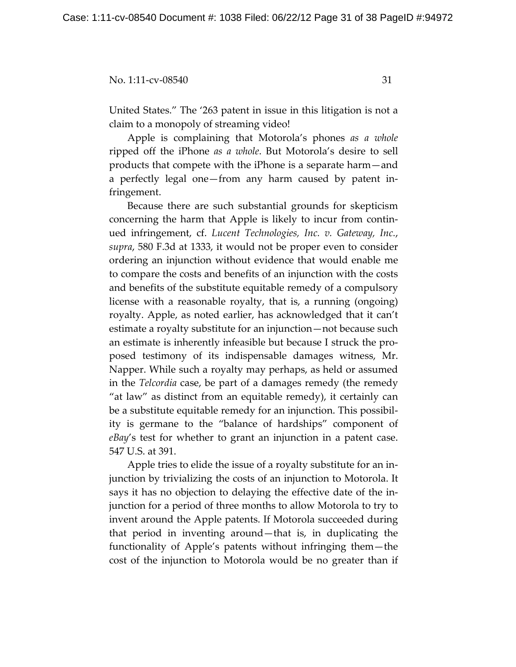United States." The '263 patent in issue in this litigation is not a claim to a monopoly of streaming video!

Apple is complaining that Motorola's phones *as a whole* ripped off the iPhone *as a whole*. But Motorola's desire to sell products that compete with the iPhone is a separate harm—and a perfectly legal one—from any harm caused by patent infringement.

Because there are such substantial grounds for skepticism concerning the harm that Apple is likely to incur from continued infringement, cf. *Lucent Technologies, Inc. v. Gateway, Inc.*, *supra*, 580 F.3d at 1333, it would not be proper even to consider ordering an injunction without evidence that would enable me to compare the costs and benefits of an injunction with the costs and benefits of the substitute equitable remedy of a compulsory license with a reasonable royalty, that is, a running (ongoing) royalty. Apple, as noted earlier, has acknowledged that it can't estimate a royalty substitute for an injunction—not because such an estimate is inherently infeasible but because I struck the proposed testimony of its indispensable damages witness, Mr. Napper. While such a royalty may perhaps, as held or assumed in the *Telcordia* case, be part of a damages remedy (the remedy "at law" as distinct from an equitable remedy), it certainly can be a substitute equitable remedy for an injunction. This possibility is germane to the "balance of hardships" component of *eBay*'s test for whether to grant an injunction in a patent case. 547 U.S. at 391.

Apple tries to elide the issue of a royalty substitute for an injunction by trivializing the costs of an injunction to Motorola. It says it has no objection to delaying the effective date of the injunction for a period of three months to allow Motorola to try to invent around the Apple patents. If Motorola succeeded during that period in inventing around—that is, in duplicating the functionality of Apple's patents without infringing them—the cost of the injunction to Motorola would be no greater than if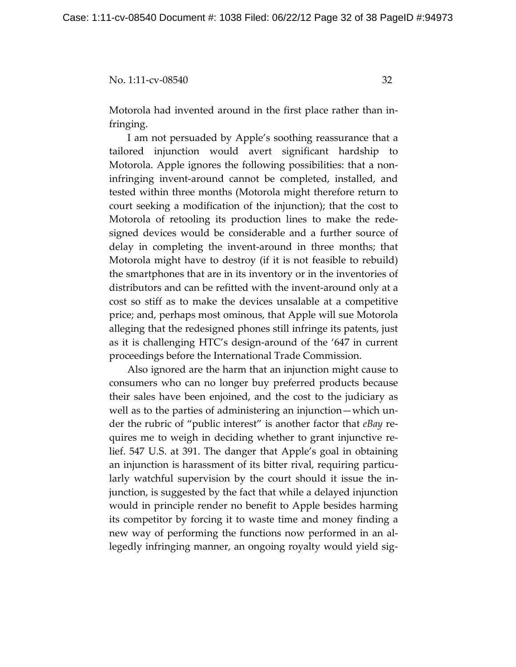Motorola had invented around in the first place rather than infringing.

I am not persuaded by Apple's soothing reassurance that a tailored injunction would avert significant hardship to Motorola. Apple ignores the following possibilities: that a noninfringing invent-around cannot be completed, installed, and tested within three months (Motorola might therefore return to court seeking a modification of the injunction); that the cost to Motorola of retooling its production lines to make the redesigned devices would be considerable and a further source of delay in completing the invent-around in three months; that Motorola might have to destroy (if it is not feasible to rebuild) the smartphones that are in its inventory or in the inventories of distributors and can be refitted with the invent-around only at a cost so stiff as to make the devices unsalable at a competitive price; and, perhaps most ominous, that Apple will sue Motorola alleging that the redesigned phones still infringe its patents, just as it is challenging HTC's design-around of the '647 in current proceedings before the International Trade Commission.

Also ignored are the harm that an injunction might cause to consumers who can no longer buy preferred products because their sales have been enjoined, and the cost to the judiciary as well as to the parties of administering an injunction—which under the rubric of "public interest" is another factor that *eBay* requires me to weigh in deciding whether to grant injunctive relief. 547 U.S. at 391. The danger that Apple's goal in obtaining an injunction is harassment of its bitter rival, requiring particularly watchful supervision by the court should it issue the injunction, is suggested by the fact that while a delayed injunction would in principle render no benefit to Apple besides harming its competitor by forcing it to waste time and money finding a new way of performing the functions now performed in an allegedly infringing manner, an ongoing royalty would yield sig-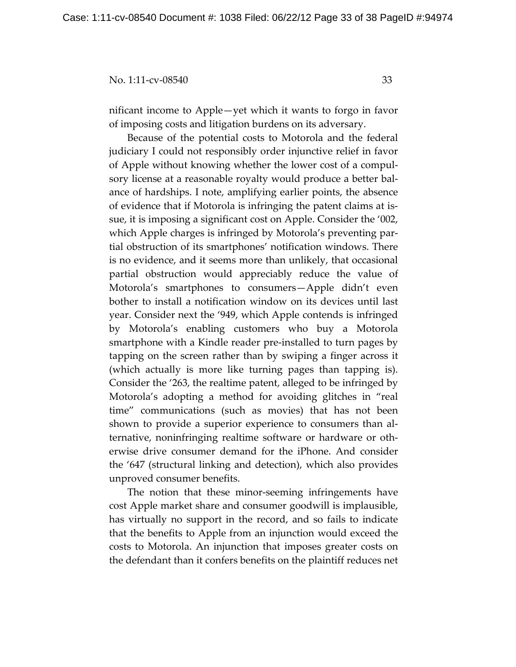nificant income to Apple—yet which it wants to forgo in favor of imposing costs and litigation burdens on its adversary.

Because of the potential costs to Motorola and the federal judiciary I could not responsibly order injunctive relief in favor of Apple without knowing whether the lower cost of a compulsory license at a reasonable royalty would produce a better balance of hardships. I note, amplifying earlier points, the absence of evidence that if Motorola is infringing the patent claims at issue, it is imposing a significant cost on Apple. Consider the '002, which Apple charges is infringed by Motorola's preventing partial obstruction of its smartphones' notification windows. There is no evidence, and it seems more than unlikely, that occasional partial obstruction would appreciably reduce the value of Motorola's smartphones to consumers—Apple didn't even bother to install a notification window on its devices until last year. Consider next the '949, which Apple contends is infringed by Motorola's enabling customers who buy a Motorola smartphone with a Kindle reader pre-installed to turn pages by tapping on the screen rather than by swiping a finger across it (which actually is more like turning pages than tapping is). Consider the '263, the realtime patent, alleged to be infringed by Motorola's adopting a method for avoiding glitches in "real time" communications (such as movies) that has not been shown to provide a superior experience to consumers than alternative, noninfringing realtime software or hardware or otherwise drive consumer demand for the iPhone. And consider the '647 (structural linking and detection), which also provides unproved consumer benefits.

The notion that these minor-seeming infringements have cost Apple market share and consumer goodwill is implausible, has virtually no support in the record, and so fails to indicate that the benefits to Apple from an injunction would exceed the costs to Motorola. An injunction that imposes greater costs on the defendant than it confers benefits on the plaintiff reduces net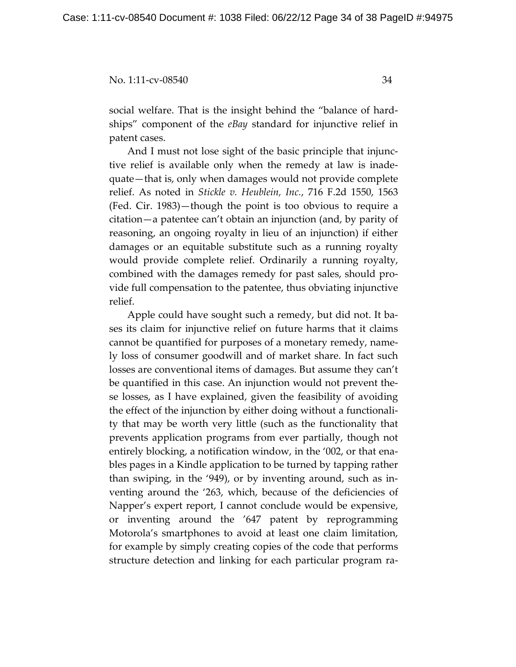social welfare. That is the insight behind the "balance of hardships" component of the *eBay* standard for injunctive relief in patent cases.

And I must not lose sight of the basic principle that injunctive relief is available only when the remedy at law is inadequate—that is, only when damages would not provide complete relief. As noted in *Stickle v. Heublein, Inc.*, 716 F.2d 1550, 1563 (Fed. Cir. 1983)—though the point is too obvious to require a citation—a patentee can't obtain an injunction (and, by parity of reasoning, an ongoing royalty in lieu of an injunction) if either damages or an equitable substitute such as a running royalty would provide complete relief. Ordinarily a running royalty, combined with the damages remedy for past sales, should provide full compensation to the patentee, thus obviating injunctive relief.

Apple could have sought such a remedy, but did not. It bases its claim for injunctive relief on future harms that it claims cannot be quantified for purposes of a monetary remedy, namely loss of consumer goodwill and of market share. In fact such losses are conventional items of damages. But assume they can't be quantified in this case. An injunction would not prevent these losses, as I have explained, given the feasibility of avoiding the effect of the injunction by either doing without a functionality that may be worth very little (such as the functionality that prevents application programs from ever partially, though not entirely blocking, a notification window, in the '002, or that enables pages in a Kindle application to be turned by tapping rather than swiping, in the '949), or by inventing around, such as inventing around the '263, which, because of the deficiencies of Napper's expert report, I cannot conclude would be expensive, or inventing around the '647 patent by reprogramming Motorola's smartphones to avoid at least one claim limitation, for example by simply creating copies of the code that performs structure detection and linking for each particular program ra-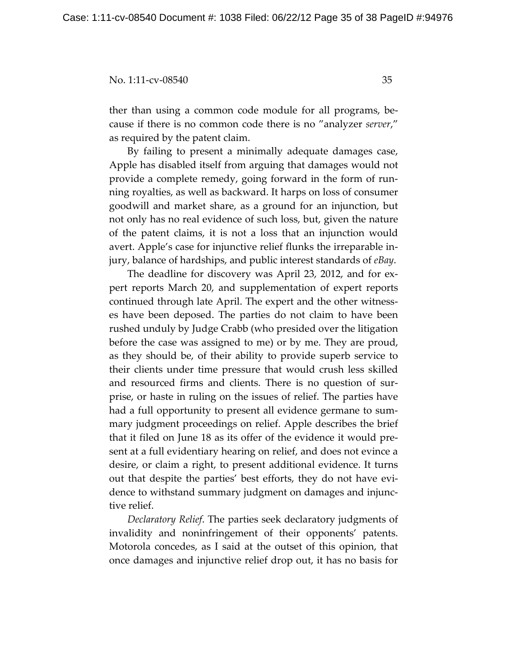ther than using a common code module for all programs, because if there is no common code there is no "analyzer *server*," as required by the patent claim.

By failing to present a minimally adequate damages case, Apple has disabled itself from arguing that damages would not provide a complete remedy, going forward in the form of running royalties, as well as backward. It harps on loss of consumer goodwill and market share, as a ground for an injunction, but not only has no real evidence of such loss, but, given the nature of the patent claims, it is not a loss that an injunction would avert. Apple's case for injunctive relief flunks the irreparable injury, balance of hardships, and public interest standards of *eBay*.

 The deadline for discovery was April 23, 2012, and for expert reports March 20, and supplementation of expert reports continued through late April. The expert and the other witnesses have been deposed. The parties do not claim to have been rushed unduly by Judge Crabb (who presided over the litigation before the case was assigned to me) or by me. They are proud, as they should be, of their ability to provide superb service to their clients under time pressure that would crush less skilled and resourced firms and clients. There is no question of surprise, or haste in ruling on the issues of relief. The parties have had a full opportunity to present all evidence germane to summary judgment proceedings on relief. Apple describes the brief that it filed on June 18 as its offer of the evidence it would present at a full evidentiary hearing on relief, and does not evince a desire, or claim a right, to present additional evidence. It turns out that despite the parties' best efforts, they do not have evidence to withstand summary judgment on damages and injunctive relief.

*Declaratory Relief*. The parties seek declaratory judgments of invalidity and noninfringement of their opponents' patents. Motorola concedes, as I said at the outset of this opinion, that once damages and injunctive relief drop out, it has no basis for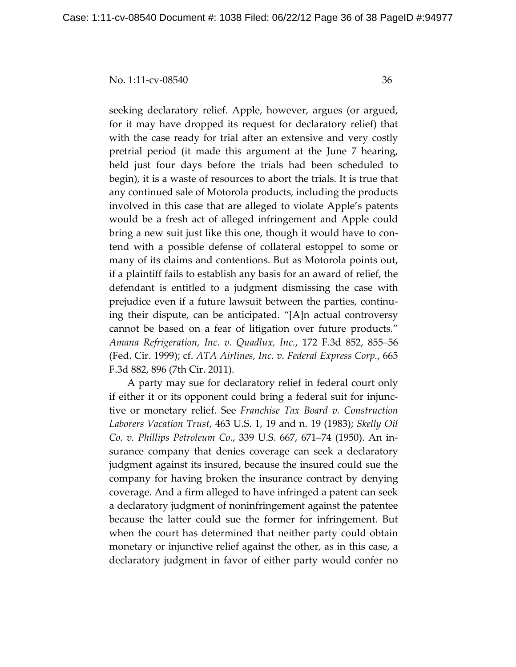seeking declaratory relief. Apple, however, argues (or argued, for it may have dropped its request for declaratory relief) that with the case ready for trial after an extensive and very costly pretrial period (it made this argument at the June 7 hearing, held just four days before the trials had been scheduled to begin), it is a waste of resources to abort the trials. It is true that any continued sale of Motorola products, including the products involved in this case that are alleged to violate Apple's patents would be a fresh act of alleged infringement and Apple could bring a new suit just like this one, though it would have to contend with a possible defense of collateral estoppel to some or many of its claims and contentions. But as Motorola points out, if a plaintiff fails to establish any basis for an award of relief, the defendant is entitled to a judgment dismissing the case with prejudice even if a future lawsuit between the parties, continuing their dispute, can be anticipated. "[A]n actual controversy cannot be based on a fear of litigation over future products." *Amana Refrigeration, Inc. v. Quadlux, Inc.*, 172 F.3d 852, 855–56 (Fed. Cir. 1999); cf. *ATA Airlines, Inc. v. Federal Express Corp.*, 665 F.3d 882, 896 (7th Cir. 2011).

 A party may sue for declaratory relief in federal court only if either it or its opponent could bring a federal suit for injunctive or monetary relief. See *Franchise Tax Board v. Construction Laborers Vacation Trust*, 463 U.S. 1, 19 and n. 19 (1983); *Skelly Oil Co. v. Phillips Petroleum Co.*, 339 U.S. 667, 671–74 (1950). An insurance company that denies coverage can seek a declaratory judgment against its insured, because the insured could sue the company for having broken the insurance contract by denying coverage. And a firm alleged to have infringed a patent can seek a declaratory judgment of noninfringement against the patentee because the latter could sue the former for infringement. But when the court has determined that neither party could obtain monetary or injunctive relief against the other, as in this case, a declaratory judgment in favor of either party would confer no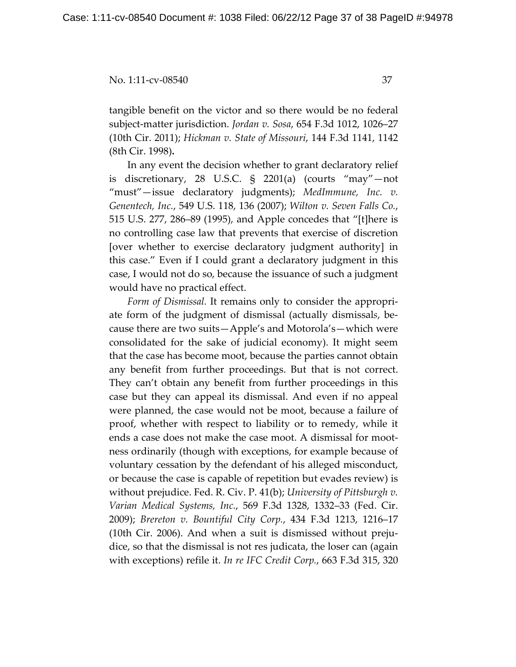tangible benefit on the victor and so there would be no federal subject-matter jurisdiction. *Jordan v. Sosa*, 654 F.3d 1012, 1026–27 (10th Cir. 2011); *Hickman v. State of Missouri*, 144 F.3d 1141, 1142 (8th Cir. 1998)**.**

 In any event the decision whether to grant declaratory relief is discretionary, 28 U.S.C. § 2201(a) (courts "may"—not "must"—issue declaratory judgments); *MedImmune, Inc. v. Genentech, Inc.*, 549 U.S. 118, 136 (2007); *Wilton v. Seven Falls Co.*, 515 U.S. 277, 286–89 (1995), and Apple concedes that "[t]here is no controlling case law that prevents that exercise of discretion [over whether to exercise declaratory judgment authority] in this case." Even if I could grant a declaratory judgment in this case, I would not do so, because the issuance of such a judgment would have no practical effect.

*Form of Dismissal.* It remains only to consider the appropriate form of the judgment of dismissal (actually dismissal*s*, because there are two suits—Apple's and Motorola's—which were consolidated for the sake of judicial economy). It might seem that the case has become moot, because the parties cannot obtain any benefit from further proceedings. But that is not correct. They can't obtain any benefit from further proceedings in this case but they can appeal its dismissal. And even if no appeal were planned, the case would not be moot, because a failure of proof, whether with respect to liability or to remedy, while it ends a case does not make the case moot. A dismissal for mootness ordinarily (though with exceptions, for example because of voluntary cessation by the defendant of his alleged misconduct, or because the case is capable of repetition but evades review) is without prejudice. Fed. R. Civ. P. 41(b); *University of Pittsburgh v. Varian Medical Systems, Inc.*, 569 F.3d 1328, 1332–33 (Fed. Cir. 2009); *Brereton v. Bountiful City Corp.*, 434 F.3d 1213, 1216–17 (10th Cir. 2006). And when a suit is dismissed without prejudice, so that the dismissal is not res judicata, the loser can (again with exceptions) refile it. *In re IFC Credit Corp.*, 663 F.3d 315, 320